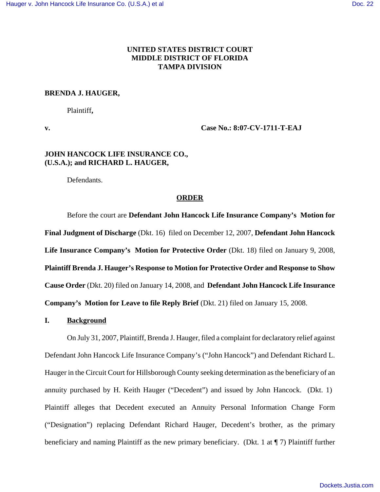## **UNITED STATES DISTRICT COURT MIDDLE DISTRICT OF FLORIDA TAMPA DIVISION**

#### **BRENDA J. HAUGER,**

Plaintiff**,**

**v. Case No.: 8:07-CV-1711-T-EAJ**

## **JOHN HANCOCK LIFE INSURANCE CO., (U.S.A.); and RICHARD L. HAUGER,**

Defendants.

### **ORDER**

Before the court are **Defendant John Hancock Life Insurance Company's Motion for Final Judgment of Discharge** (Dkt. 16) filed on December 12, 2007, **Defendant John Hancock** Life Insurance Company's Motion for Protective Order (Dkt. 18) filed on January 9, 2008, **Plaintiff Brenda J. Hauger's Response to Motion for Protective Order and Response to Show Cause Order** (Dkt. 20) filed on January 14, 2008, and **Defendant John Hancock Life Insurance Company's Motion for Leave to file Reply Brief** (Dkt. 21) filed on January 15, 2008.

#### **I. Background**

On July 31, 2007, Plaintiff, Brenda J. Hauger, filed a complaint for declaratory relief against Defendant John Hancock Life Insurance Company's ("John Hancock") and Defendant Richard L. Hauger in the Circuit Court for Hillsborough County seeking determination as the beneficiary of an annuity purchased by H. Keith Hauger ("Decedent") and issued by John Hancock. (Dkt. 1) Plaintiff alleges that Decedent executed an Annuity Personal Information Change Form ("Designation") replacing Defendant Richard Hauger, Decedent's brother, as the primary beneficiary and naming Plaintiff as the new primary beneficiary. (Dkt. 1 at ¶ 7) Plaintiff further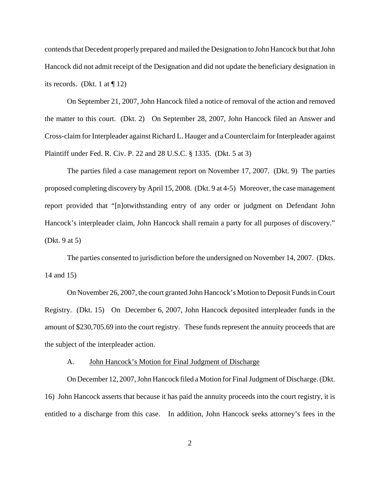contends that Decedent properly prepared and mailed the Designation to John Hancock but that John Hancock did not admit receipt of the Designation and did not update the beneficiary designation in its records. (Dkt. 1 at  $\P$  12)

On September 21, 2007, John Hancock filed a notice of removal of the action and removed the matter to this court. (Dkt. 2) On September 28, 2007, John Hancock filed an Answer and Cross-claim for Interpleader against Richard L. Hauger and a Counterclaim for Interpleader against Plaintiff under Fed. R. Civ. P. 22 and 28 U.S.C. § 1335. (Dkt. 5 at 3)

The parties filed a case management report on November 17, 2007. (Dkt. 9) The parties proposed completing discovery by April 15, 2008. (Dkt. 9 at 4-5) Moreover, the case management report provided that "[n]otwithstanding entry of any order or judgment on Defendant John Hancock's interpleader claim, John Hancock shall remain a party for all purposes of discovery." (Dkt. 9 at 5)

The parties consented to jurisdiction before the undersigned on November 14, 2007. (Dkts. 14 and 15)

On November 26, 2007, the court granted John Hancock's Motion to Deposit Funds in Court Registry. (Dkt. 15) On December 6, 2007, John Hancock deposited interpleader funds in the amount of \$230,705.69 into the court registry. These funds represent the annuity proceeds that are the subject of the interpleader action.

### A. **John Hancock's Motion for Final Judgment of Discharge**

On December 12, 2007, John Hancock filed a Motion for Final Judgment of Discharge. (Dkt. 16) John Hancock asserts that because it has paid the annuity proceeds into the court registry, it is entitled to a discharge from this case. In addition, John Hancock seeks attorney's fees in the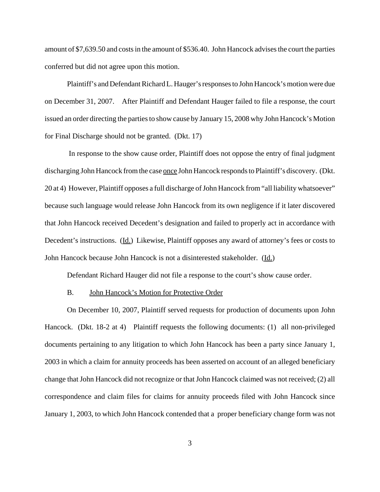amount of \$7,639.50 and costs in the amount of \$536.40. John Hancock advises the court the parties conferred but did not agree upon this motion.

Plaintiff's and Defendant Richard L. Hauger's responses to John Hancock's motion were due on December 31, 2007. After Plaintiff and Defendant Hauger failed to file a response, the court issued an order directing the parties to show cause by January 15, 2008 why John Hancock's Motion for Final Discharge should not be granted. (Dkt. 17)

 In response to the show cause order, Plaintiff does not oppose the entry of final judgment discharging John Hancock from the case once John Hancock responds to Plaintiff's discovery. (Dkt. 20 at 4) However, Plaintiff opposes a full discharge of John Hancock from "all liability whatsoever" because such language would release John Hancock from its own negligence if it later discovered that John Hancock received Decedent's designation and failed to properly act in accordance with Decedent's instructions. (Id.) Likewise, Plaintiff opposes any award of attorney's fees or costs to John Hancock because John Hancock is not a disinterested stakeholder. (Id.)

Defendant Richard Hauger did not file a response to the court's show cause order.

### B. John Hancock's Motion for Protective Order

On December 10, 2007, Plaintiff served requests for production of documents upon John Hancock. (Dkt. 18-2 at 4) Plaintiff requests the following documents: (1) all non-privileged documents pertaining to any litigation to which John Hancock has been a party since January 1, 2003 in which a claim for annuity proceeds has been asserted on account of an alleged beneficiary change that John Hancock did not recognize or that John Hancock claimed was not received; (2) all correspondence and claim files for claims for annuity proceeds filed with John Hancock since January 1, 2003, to which John Hancock contended that a proper beneficiary change form was not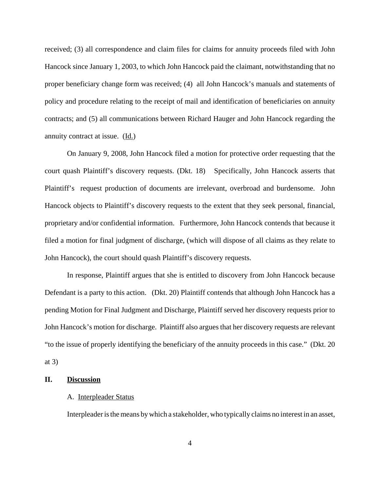received; (3) all correspondence and claim files for claims for annuity proceeds filed with John Hancock since January 1, 2003, to which John Hancock paid the claimant, notwithstanding that no proper beneficiary change form was received; (4) all John Hancock's manuals and statements of policy and procedure relating to the receipt of mail and identification of beneficiaries on annuity contracts; and (5) all communications between Richard Hauger and John Hancock regarding the annuity contract at issue. (Id.)

On January 9, 2008, John Hancock filed a motion for protective order requesting that the court quash Plaintiff's discovery requests. (Dkt. 18) Specifically, John Hancock asserts that Plaintiff's request production of documents are irrelevant, overbroad and burdensome. John Hancock objects to Plaintiff's discovery requests to the extent that they seek personal, financial, proprietary and/or confidential information. Furthermore, John Hancock contends that because it filed a motion for final judgment of discharge, (which will dispose of all claims as they relate to John Hancock), the court should quash Plaintiff's discovery requests.

In response, Plaintiff argues that she is entitled to discovery from John Hancock because Defendant is a party to this action. (Dkt. 20) Plaintiff contends that although John Hancock has a pending Motion for Final Judgment and Discharge, Plaintiff served her discovery requests prior to John Hancock's motion for discharge. Plaintiff also argues that her discovery requests are relevant "to the issue of properly identifying the beneficiary of the annuity proceeds in this case." (Dkt. 20 at 3)

## **II. Discussion**

#### A. Interpleader Status

Interpleader is the means by which a stakeholder, who typically claims no interest in an asset,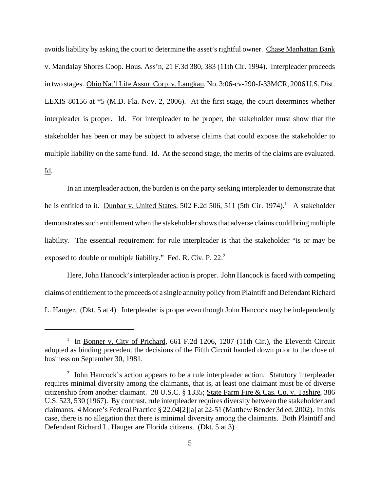avoids liability by asking the court to determine the asset's rightful owner. Chase Manhattan Bank v. Mandalay Shores Coop. Hous. Ass'n, 21 F.3d 380, 383 (11th Cir. 1994). Interpleader proceeds in two stages. Ohio Nat'l Life Assur. Corp. v. Langkau, No. 3:06-cv-290-J-33MCR, 2006 U.S. Dist. LEXIS 80156 at \*5 (M.D. Fla. Nov. 2, 2006). At the first stage, the court determines whether interpleader is proper. Id. For interpleader to be proper, the stakeholder must show that the stakeholder has been or may be subject to adverse claims that could expose the stakeholder to multiple liability on the same fund. Id. At the second stage, the merits of the claims are evaluated. Id.

In an interpleader action, the burden is on the party seeking interpleader to demonstrate that he is entitled to it. Dunbar v. United States, 502 F.2d 506, 511 (5th Cir. 1974).<sup>1</sup> A stakeholder demonstrates such entitlement when the stakeholder shows that adverse claims could bring multiple liability. The essential requirement for rule interpleader is that the stakeholder "is or may be exposed to double or multiple liability." Fed. R. Civ. P. 22.<sup>2</sup>

Here, John Hancock's interpleader action is proper. John Hancock is faced with competing claims of entitlement to the proceeds of a single annuity policy from Plaintiff and Defendant Richard L. Hauger. (Dkt. 5 at 4) Interpleader is proper even though John Hancock may be independently

<sup>&</sup>lt;sup>1</sup> In <u>Bonner v. City of Prichard</u>, 661 F.2d 1206, 1207 (11th Cir.), the Eleventh Circuit adopted as binding precedent the decisions of the Fifth Circuit handed down prior to the close of business on September 30, 1981.

<sup>&</sup>lt;sup>2</sup> John Hancock's action appears to be a rule interpleader action. Statutory interpleader requires minimal diversity among the claimants, that is, at least one claimant must be of diverse citizenship from another claimant. 28 U.S.C. § 1335; State Farm Fire & Cas. Co. v. Tashire, 386 U.S. 523, 530 (1967). By contrast, rule interpleader requires diversity between the stakeholder and claimants. 4 Moore's Federal Practice § 22.04[2][a] at 22-51 (Matthew Bender 3d ed. 2002). In this case, there is no allegation that there is minimal diversity among the claimants. Both Plaintiff and Defendant Richard L. Hauger are Florida citizens. (Dkt. 5 at 3)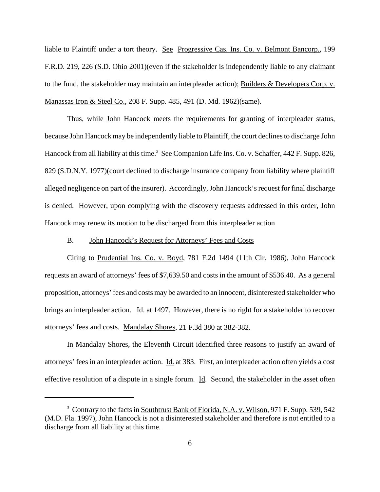liable to Plaintiff under a tort theory. See Progressive Cas. Ins. Co. v. Belmont Bancorp., 199 F.R.D. 219, 226 (S.D. Ohio 2001)(even if the stakeholder is independently liable to any claimant to the fund, the stakeholder may maintain an interpleader action); Builders & Developers Corp. v. Manassas Iron & Steel Co., 208 F. Supp. 485, 491 (D. Md. 1962)(same).

Thus, while John Hancock meets the requirements for granting of interpleader status, because John Hancock may be independently liable to Plaintiff, the court declines to discharge John Hancock from all liability at this time.<sup>3</sup> See Companion Life Ins. Co. v. Schaffer, 442 F. Supp. 826, 829 (S.D.N.Y. 1977)(court declined to discharge insurance company from liability where plaintiff alleged negligence on part of the insurer). Accordingly, John Hancock's request for final discharge is denied. However, upon complying with the discovery requests addressed in this order, John Hancock may renew its motion to be discharged from this interpleader action

## B. John Hancock's Request for Attorneys' Fees and Costs

Citing to Prudential Ins. Co. v. Boyd, 781 F.2d 1494 (11th Cir. 1986), John Hancock requests an award of attorneys' fees of \$7,639.50 and costs in the amount of \$536.40. As a general proposition, attorneys' fees and costs may be awarded to an innocent, disinterested stakeholder who brings an interpleader action. Id. at 1497. However, there is no right for a stakeholder to recover attorneys' fees and costs. Mandalay Shores, 21 F.3d 380 at 382-382.

In Mandalay Shores, the Eleventh Circuit identified three reasons to justify an award of attorneys' fees in an interpleader action. Id. at 383. First, an interpleader action often yields a cost effective resolution of a dispute in a single forum. Id. Second, the stakeholder in the asset often

<sup>&</sup>lt;sup>3</sup> Contrary to the facts in Southtrust Bank of Florida, N.A. v. Wilson, 971 F. Supp. 539, 542 (M.D. Fla. 1997), John Hancock is not a disinterested stakeholder and therefore is not entitled to a discharge from all liability at this time.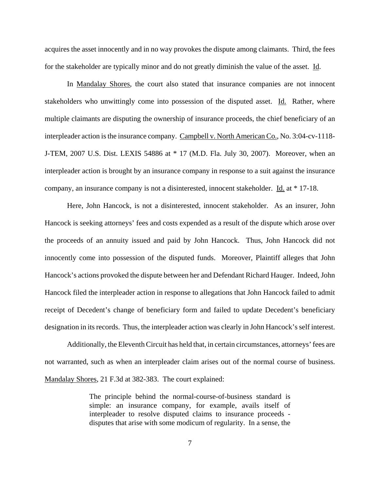acquires the asset innocently and in no way provokes the dispute among claimants. Third, the fees for the stakeholder are typically minor and do not greatly diminish the value of the asset. Id.

In Mandalay Shores, the court also stated that insurance companies are not innocent stakeholders who unwittingly come into possession of the disputed asset. Id. Rather, where multiple claimants are disputing the ownership of insurance proceeds, the chief beneficiary of an interpleader action is the insurance company. Campbell v. North American Co., No. 3:04-cv-1118- J-TEM, 2007 U.S. Dist. LEXIS 54886 at \* 17 (M.D. Fla. July 30, 2007). Moreover, when an interpleader action is brought by an insurance company in response to a suit against the insurance company, an insurance company is not a disinterested, innocent stakeholder. Id. at \* 17-18.

Here, John Hancock, is not a disinterested, innocent stakeholder. As an insurer, John Hancock is seeking attorneys' fees and costs expended as a result of the dispute which arose over the proceeds of an annuity issued and paid by John Hancock. Thus, John Hancock did not innocently come into possession of the disputed funds. Moreover, Plaintiff alleges that John Hancock's actions provoked the dispute between her and Defendant Richard Hauger. Indeed, John Hancock filed the interpleader action in response to allegations that John Hancock failed to admit receipt of Decedent's change of beneficiary form and failed to update Decedent's beneficiary designation in its records. Thus, the interpleader action was clearly in John Hancock's self interest.

Additionally, the Eleventh Circuit has held that, in certain circumstances, attorneys' fees are not warranted, such as when an interpleader claim arises out of the normal course of business. Mandalay Shores, 21 F.3d at 382-383. The court explained:

> The principle behind the normal-course-of-business standard is simple: an insurance company, for example, avails itself of interpleader to resolve disputed claims to insurance proceeds disputes that arise with some modicum of regularity. In a sense, the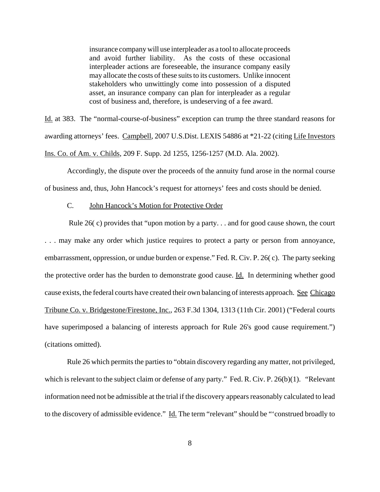insurance company will use interpleader as a tool to allocate proceeds and avoid further liability. As the costs of these occasional interpleader actions are foreseeable, the insurance company easily may allocate the costs of these suits to its customers. Unlike innocent stakeholders who unwittingly come into possession of a disputed asset, an insurance company can plan for interpleader as a regular cost of business and, therefore, is undeserving of a fee award.

Id. at 383. The "normal-course-of-business" exception can trump the three standard reasons for awarding attorneys' fees. Campbell, 2007 U.S.Dist. LEXIS 54886 at \*21-22 (citing Life Investors Ins. Co. of Am. v. Childs, 209 F. Supp. 2d 1255, 1256-1257 (M.D. Ala. 2002).

Accordingly, the dispute over the proceeds of the annuity fund arose in the normal course of business and, thus, John Hancock's request for attorneys' fees and costs should be denied.

## C. John Hancock's Motion for Protective Order

 Rule 26( c) provides that "upon motion by a party. . . and for good cause shown, the court . . . may make any order which justice requires to protect a party or person from annoyance, embarrassment, oppression, or undue burden or expense." Fed. R. Civ. P. 26( c). The party seeking the protective order has the burden to demonstrate good cause. Id. In determining whether good cause exists, the federal courts have created their own balancing of interests approach. See Chicago Tribune Co. v. Bridgestone/Firestone, Inc., 263 F.3d 1304, 1313 (11th Cir. 2001) ("Federal courts have superimposed a balancing of interests approach for Rule 26's good cause requirement.") (citations omitted).

Rule 26 which permits the parties to "obtain discovery regarding any matter, not privileged, which is relevant to the subject claim or defense of any party." Fed. R. Civ. P. 26(b)(1). "Relevant information need not be admissible at the trial if the discovery appears reasonably calculated to lead to the discovery of admissible evidence." Id. The term "relevant" should be "'construed broadly to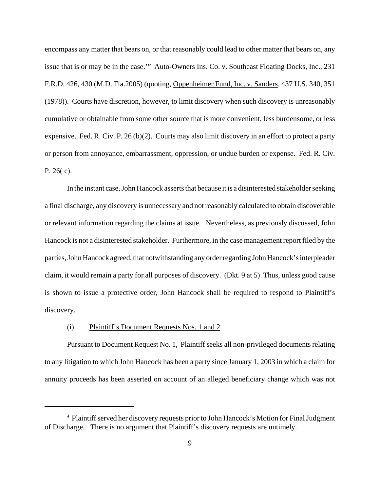encompass any matter that bears on, or that reasonably could lead to other matter that bears on, any issue that is or may be in the case.'" Auto-Owners Ins. Co. v. Southeast Floating Docks, Inc., 231 F.R.D. 426, 430 (M.D. Fla.2005) (quoting, Oppenheimer Fund, Inc. v. Sanders, 437 U.S. 340, 351 (1978)). Courts have discretion, however, to limit discovery when such discovery is unreasonably cumulative or obtainable from some other source that is more convenient, less burdensome, or less expensive. Fed. R. Civ. P. 26 (b)(2). Courts may also limit discovery in an effort to protect a party or person from annoyance, embarrassment, oppression, or undue burden or expense. Fed. R. Civ. P. 26( c).

In the instant case, John Hancock asserts that because it is a disinterested stakeholder seeking a final discharge, any discovery is unnecessary and not reasonably calculated to obtain discoverable or relevant information regarding the claims at issue. Nevertheless, as previously discussed, John Hancock is not a disinterested stakeholder. Furthermore, in the case management report filed by the parties, John Hancock agreed, that notwithstanding any order regarding John Hancock's interpleader claim, it would remain a party for all purposes of discovery. (Dkt. 9 at 5) Thus, unless good cause is shown to issue a protective order, John Hancock shall be required to respond to Plaintiff's discovery.4

## (i) Plaintiff's Document Requests Nos. 1 and 2

Pursuant to Document Request No. 1, Plaintiff seeks all non-privileged documents relating to any litigation to which John Hancock has been a party since January 1, 2003 in which a claim for annuity proceeds has been asserted on account of an alleged beneficiary change which was not

<sup>&</sup>lt;sup>4</sup> Plaintiff served her discovery requests prior to John Hancock's Motion for Final Judgment of Discharge. There is no argument that Plaintiff's discovery requests are untimely.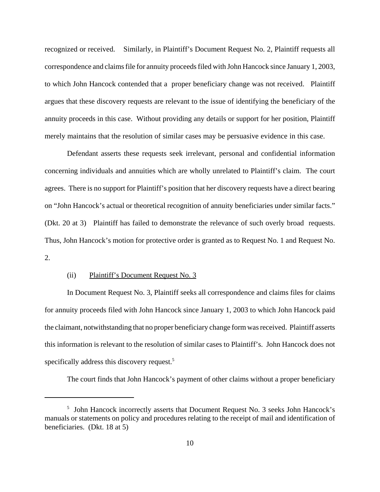recognized or received. Similarly, in Plaintiff's Document Request No. 2, Plaintiff requests all correspondence and claims file for annuity proceeds filed with John Hancock since January 1, 2003, to which John Hancock contended that a proper beneficiary change was not received. Plaintiff argues that these discovery requests are relevant to the issue of identifying the beneficiary of the annuity proceeds in this case. Without providing any details or support for her position, Plaintiff merely maintains that the resolution of similar cases may be persuasive evidence in this case.

Defendant asserts these requests seek irrelevant, personal and confidential information concerning individuals and annuities which are wholly unrelated to Plaintiff's claim. The court agrees. There is no support for Plaintiff's position that her discovery requests have a direct bearing on "John Hancock's actual or theoretical recognition of annuity beneficiaries under similar facts." (Dkt. 20 at 3) Plaintiff has failed to demonstrate the relevance of such overly broad requests. Thus, John Hancock's motion for protective order is granted as to Request No. 1 and Request No.  $2<sub>1</sub>$ 

## (ii) Plaintiff's Document Request No. 3

In Document Request No. 3, Plaintiff seeks all correspondence and claims files for claims for annuity proceeds filed with John Hancock since January 1, 2003 to which John Hancock paid the claimant, notwithstanding that no proper beneficiary change form was received. Plaintiff asserts this information is relevant to the resolution of similar cases to Plaintiff's. John Hancock does not specifically address this discovery request.<sup>5</sup>

The court finds that John Hancock's payment of other claims without a proper beneficiary

<sup>&</sup>lt;sup>5</sup> John Hancock incorrectly asserts that Document Request No. 3 seeks John Hancock's manuals or statements on policy and procedures relating to the receipt of mail and identification of beneficiaries. (Dkt. 18 at 5)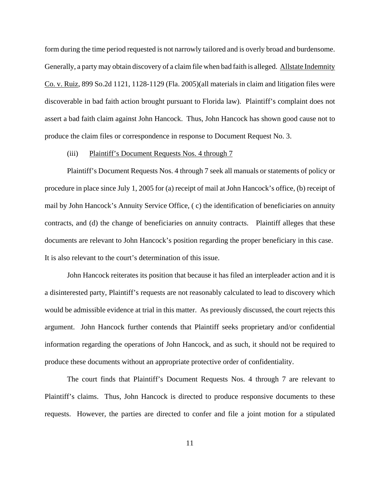form during the time period requested is not narrowly tailored and is overly broad and burdensome. Generally, a party may obtain discovery of a claim file when bad faith is alleged. Allstate Indemnity Co. v. Ruiz, 899 So.2d 1121, 1128-1129 (Fla. 2005)(all materials in claim and litigation files were discoverable in bad faith action brought pursuant to Florida law). Plaintiff's complaint does not assert a bad faith claim against John Hancock. Thus, John Hancock has shown good cause not to produce the claim files or correspondence in response to Document Request No. 3.

## (iii) Plaintiff's Document Requests Nos. 4 through 7

Plaintiff's Document Requests Nos. 4 through 7 seek all manuals or statements of policy or procedure in place since July 1, 2005 for (a) receipt of mail at John Hancock's office, (b) receipt of mail by John Hancock's Annuity Service Office, ( c) the identification of beneficiaries on annuity contracts, and (d) the change of beneficiaries on annuity contracts. Plaintiff alleges that these documents are relevant to John Hancock's position regarding the proper beneficiary in this case. It is also relevant to the court's determination of this issue.

John Hancock reiterates its position that because it has filed an interpleader action and it is a disinterested party, Plaintiff's requests are not reasonably calculated to lead to discovery which would be admissible evidence at trial in this matter. As previously discussed, the court rejects this argument. John Hancock further contends that Plaintiff seeks proprietary and/or confidential information regarding the operations of John Hancock, and as such, it should not be required to produce these documents without an appropriate protective order of confidentiality.

The court finds that Plaintiff's Document Requests Nos. 4 through 7 are relevant to Plaintiff's claims. Thus, John Hancock is directed to produce responsive documents to these requests. However, the parties are directed to confer and file a joint motion for a stipulated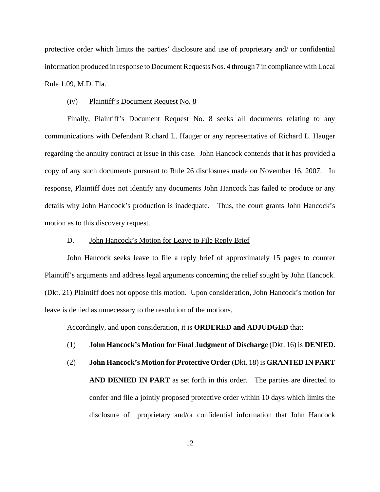protective order which limits the parties' disclosure and use of proprietary and/ or confidential information produced in response to Document Requests Nos. 4 through 7 in compliance with Local Rule 1.09, M.D. Fla.

#### (iv) Plaintiff's Document Request No. 8

Finally, Plaintiff's Document Request No. 8 seeks all documents relating to any communications with Defendant Richard L. Hauger or any representative of Richard L. Hauger regarding the annuity contract at issue in this case. John Hancock contends that it has provided a copy of any such documents pursuant to Rule 26 disclosures made on November 16, 2007. In response, Plaintiff does not identify any documents John Hancock has failed to produce or any details why John Hancock's production is inadequate. Thus, the court grants John Hancock's motion as to this discovery request.

#### D. John Hancock's Motion for Leave to File Reply Brief

John Hancock seeks leave to file a reply brief of approximately 15 pages to counter Plaintiff's arguments and address legal arguments concerning the relief sought by John Hancock. (Dkt. 21) Plaintiff does not oppose this motion. Upon consideration, John Hancock's motion for leave is denied as unnecessary to the resolution of the motions.

Accordingly, and upon consideration, it is **ORDERED and ADJUDGED** that:

## (1) **John Hancock's Motion for Final Judgment of Discharge** (Dkt. 16) is **DENIED**.

(2) **John Hancock's Motion for Protective Order** (Dkt. 18) is **GRANTED IN PART AND DENIED IN PART** as set forth in this order. The parties are directed to confer and file a jointly proposed protective order within 10 days which limits the disclosure of proprietary and/or confidential information that John Hancock